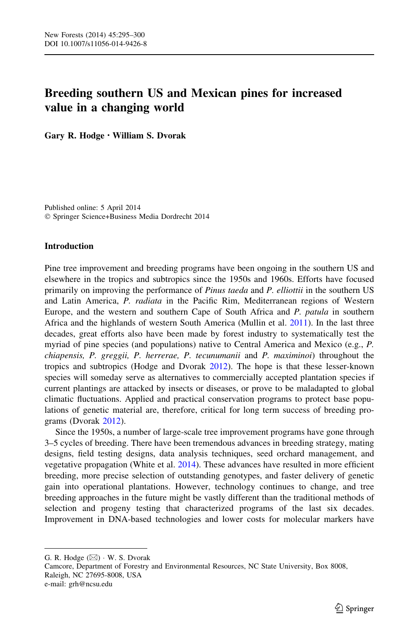# Breeding southern US and Mexican pines for increased value in a changing world

Gary R. Hodge • William S. Dvorak

Published online: 5 April 2014 - Springer Science+Business Media Dordrecht 2014

## Introduction

Pine tree improvement and breeding programs have been ongoing in the southern US and elsewhere in the tropics and subtropics since the 1950s and 1960s. Efforts have focused primarily on improving the performance of Pinus taeda and P. elliottii in the southern US and Latin America, P. radiata in the Pacific Rim, Mediterranean regions of Western Europe, and the western and southern Cape of South Africa and P. patula in southern Africa and the highlands of western South America (Mullin et al. [2011](#page-5-0)). In the last three decades, great efforts also have been made by forest industry to systematically test the myriad of pine species (and populations) native to Central America and Mexico (e.g., P. chiapensis, P. greggii, P. herrerae, P. tecunumanii and P. maximinoi) throughout the tropics and subtropics (Hodge and Dvorak [2012\)](#page-5-0). The hope is that these lesser-known species will someday serve as alternatives to commercially accepted plantation species if current plantings are attacked by insects or diseases, or prove to be maladapted to global climatic fluctuations. Applied and practical conservation programs to protect base populations of genetic material are, therefore, critical for long term success of breeding programs (Dvorak [2012\)](#page-5-0).

Since the 1950s, a number of large-scale tree improvement programs have gone through 3–5 cycles of breeding. There have been tremendous advances in breeding strategy, mating designs, field testing designs, data analysis techniques, seed orchard management, and vegetative propagation (White et al. [2014\)](#page-5-0). These advances have resulted in more efficient breeding, more precise selection of outstanding genotypes, and faster delivery of genetic gain into operational plantations. However, technology continues to change, and tree breeding approaches in the future might be vastly different than the traditional methods of selection and progeny testing that characterized programs of the last six decades. Improvement in DNA-based technologies and lower costs for molecular markers have

G. R. Hodge  $(\boxtimes) \cdot W$ . S. Dvorak

Camcore, Department of Forestry and Environmental Resources, NC State University, Box 8008, Raleigh, NC 27695-8008, USA e-mail: grh@ncsu.edu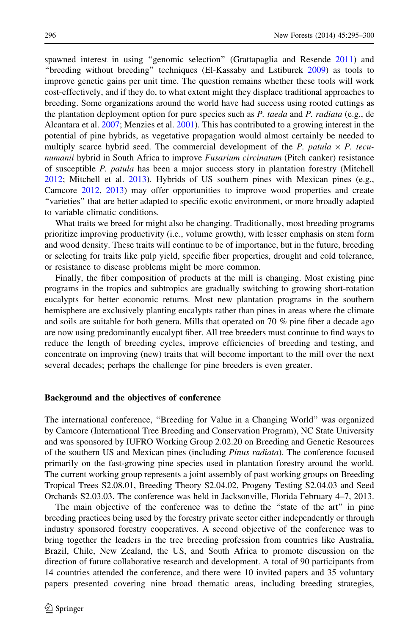spawned interest in using ''genomic selection'' (Grattapaglia and Resende [2011\)](#page-5-0) and ''breeding without breeding'' techniques (El-Kassaby and Lstiburek [2009\)](#page-5-0) as tools to improve genetic gains per unit time. The question remains whether these tools will work cost-effectively, and if they do, to what extent might they displace traditional approaches to breeding. Some organizations around the world have had success using rooted cuttings as the plantation deployment option for pure species such as  $P$ . taeda and  $P$ . radiata (e.g., de Alcantara et al. [2007](#page-5-0); Menzies et al. [2001](#page-5-0)). This has contributed to a growing interest in the potential of pine hybrids, as vegetative propagation would almost certainly be needed to multiply scarce hybrid seed. The commercial development of the P. patula  $\times$  P. tecunumanii hybrid in South Africa to improve *Fusarium circinatum* (Pitch canker) resistance of susceptible P. patula has been a major success story in plantation forestry (Mitchell [2012;](#page-5-0) Mitchell et al. [2013\)](#page-5-0). Hybrids of US southern pines with Mexican pines (e.g., Camcore [2012](#page-5-0), [2013](#page-5-0)) may offer opportunities to improve wood properties and create ''varieties'' that are better adapted to specific exotic environment, or more broadly adapted to variable climatic conditions.

What traits we breed for might also be changing. Traditionally, most breeding programs prioritize improving productivity (i.e., volume growth), with lesser emphasis on stem form and wood density. These traits will continue to be of importance, but in the future, breeding or selecting for traits like pulp yield, specific fiber properties, drought and cold tolerance, or resistance to disease problems might be more common.

Finally, the fiber composition of products at the mill is changing. Most existing pine programs in the tropics and subtropics are gradually switching to growing short-rotation eucalypts for better economic returns. Most new plantation programs in the southern hemisphere are exclusively planting eucalypts rather than pines in areas where the climate and soils are suitable for both genera. Mills that operated on 70 % pine fiber a decade ago are now using predominantly eucalypt fiber. All tree breeders must continue to find ways to reduce the length of breeding cycles, improve efficiencies of breeding and testing, and concentrate on improving (new) traits that will become important to the mill over the next several decades; perhaps the challenge for pine breeders is even greater.

## Background and the objectives of conference

The international conference, ''Breeding for Value in a Changing World'' was organized by Camcore (International Tree Breeding and Conservation Program), NC State University and was sponsored by IUFRO Working Group 2.02.20 on Breeding and Genetic Resources of the southern US and Mexican pines (including *Pinus radiata*). The conference focused primarily on the fast-growing pine species used in plantation forestry around the world. The current working group represents a joint assembly of past working groups on Breeding Tropical Trees S2.08.01, Breeding Theory S2.04.02, Progeny Testing S2.04.03 and Seed Orchards S2.03.03. The conference was held in Jacksonville, Florida February 4–7, 2013.

The main objective of the conference was to define the "state of the art" in pine breeding practices being used by the forestry private sector either independently or through industry sponsored forestry cooperatives. A second objective of the conference was to bring together the leaders in the tree breeding profession from countries like Australia, Brazil, Chile, New Zealand, the US, and South Africa to promote discussion on the direction of future collaborative research and development. A total of 90 participants from 14 countries attended the conference, and there were 10 invited papers and 35 voluntary papers presented covering nine broad thematic areas, including breeding strategies,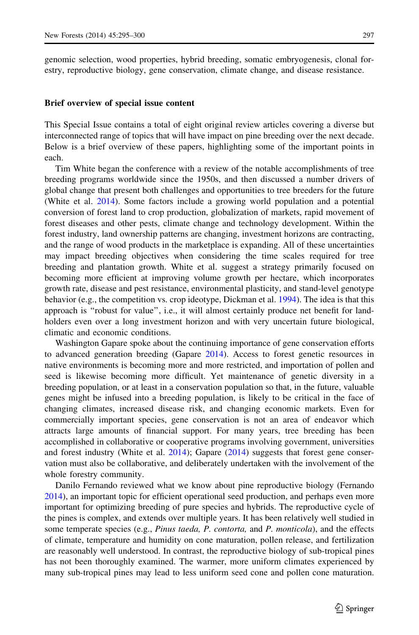#### Brief overview of special issue content

This Special Issue contains a total of eight original review articles covering a diverse but interconnected range of topics that will have impact on pine breeding over the next decade. Below is a brief overview of these papers, highlighting some of the important points in each.

Tim White began the conference with a review of the notable accomplishments of tree breeding programs worldwide since the 1950s, and then discussed a number drivers of global change that present both challenges and opportunities to tree breeders for the future (White et al. [2014\)](#page-5-0). Some factors include a growing world population and a potential conversion of forest land to crop production, globalization of markets, rapid movement of forest diseases and other pests, climate change and technology development. Within the forest industry, land ownership patterns are changing, investment horizons are contracting, and the range of wood products in the marketplace is expanding. All of these uncertainties may impact breeding objectives when considering the time scales required for tree breeding and plantation growth. White et al. suggest a strategy primarily focused on becoming more efficient at improving volume growth per hectare, which incorporates growth rate, disease and pest resistance, environmental plasticity, and stand-level genotype behavior (e.g., the competition vs. crop ideotype, Dickman et al. [1994](#page-5-0)). The idea is that this approach is ''robust for value'', i.e., it will almost certainly produce net benefit for landholders even over a long investment horizon and with very uncertain future biological, climatic and economic conditions.

Washington Gapare spoke about the continuing importance of gene conservation efforts to advanced generation breeding (Gapare [2014\)](#page-5-0). Access to forest genetic resources in native environments is becoming more and more restricted, and importation of pollen and seed is likewise becoming more difficult. Yet maintenance of genetic diversity in a breeding population, or at least in a conservation population so that, in the future, valuable genes might be infused into a breeding population, is likely to be critical in the face of changing climates, increased disease risk, and changing economic markets. Even for commercially important species, gene conservation is not an area of endeavor which attracts large amounts of financial support. For many years, tree breeding has been accomplished in collaborative or cooperative programs involving government, universities and forest industry (White et al. [2014\)](#page-5-0); Gapare [\(2014](#page-5-0)) suggests that forest gene conservation must also be collaborative, and deliberately undertaken with the involvement of the whole forestry community.

Danilo Fernando reviewed what we know about pine reproductive biology (Fernando [2014\)](#page-5-0), an important topic for efficient operational seed production, and perhaps even more important for optimizing breeding of pure species and hybrids. The reproductive cycle of the pines is complex, and extends over multiple years. It has been relatively well studied in some temperate species (e.g., *Pinus taeda, P. contorta, and P. monticola*), and the effects of climate, temperature and humidity on cone maturation, pollen release, and fertilization are reasonably well understood. In contrast, the reproductive biology of sub-tropical pines has not been thoroughly examined. The warmer, more uniform climates experienced by many sub-tropical pines may lead to less uniform seed cone and pollen cone maturation.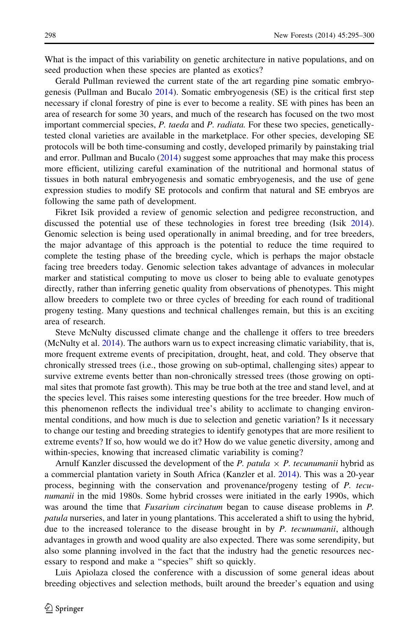What is the impact of this variability on genetic architecture in native populations, and on seed production when these species are planted as exotics?

Gerald Pullman reviewed the current state of the art regarding pine somatic embryogenesis (Pullman and Bucalo [2014\)](#page-5-0). Somatic embryogenesis (SE) is the critical first step necessary if clonal forestry of pine is ever to become a reality. SE with pines has been an area of research for some 30 years, and much of the research has focused on the two most important commercial species, P. taeda and P. radiata. For these two species, geneticallytested clonal varieties are available in the marketplace. For other species, developing SE protocols will be both time-consuming and costly, developed primarily by painstaking trial and error. Pullman and Bucalo [\(2014\)](#page-5-0) suggest some approaches that may make this process more efficient, utilizing careful examination of the nutritional and hormonal status of tissues in both natural embryogenesis and somatic embryogenesis, and the use of gene expression studies to modify SE protocols and confirm that natural and SE embryos are following the same path of development.

Fikret Isik provided a review of genomic selection and pedigree reconstruction, and discussed the potential use of these technologies in forest tree breeding (Isik [2014](#page-5-0)). Genomic selection is being used operationally in animal breeding, and for tree breeders, the major advantage of this approach is the potential to reduce the time required to complete the testing phase of the breeding cycle, which is perhaps the major obstacle facing tree breeders today. Genomic selection takes advantage of advances in molecular marker and statistical computing to move us closer to being able to evaluate genotypes directly, rather than inferring genetic quality from observations of phenotypes. This might allow breeders to complete two or three cycles of breeding for each round of traditional progeny testing. Many questions and technical challenges remain, but this is an exciting area of research.

Steve McNulty discussed climate change and the challenge it offers to tree breeders (McNulty et al.  $2014$ ). The authors warn us to expect increasing climatic variability, that is, more frequent extreme events of precipitation, drought, heat, and cold. They observe that chronically stressed trees (i.e., those growing on sub-optimal, challenging sites) appear to survive extreme events better than non-chronically stressed trees (those growing on optimal sites that promote fast growth). This may be true both at the tree and stand level, and at the species level. This raises some interesting questions for the tree breeder. How much of this phenomenon reflects the individual tree's ability to acclimate to changing environmental conditions, and how much is due to selection and genetic variation? Is it necessary to change our testing and breeding strategies to identify genotypes that are more resilient to extreme events? If so, how would we do it? How do we value genetic diversity, among and within-species, knowing that increased climatic variability is coming?

Arnulf Kanzler discussed the development of the P. patula  $\times$  P. tecunumanii hybrid as a commercial plantation variety in South Africa (Kanzler et al. [2014\)](#page-5-0). This was a 20-year process, beginning with the conservation and provenance/progeny testing of P. tecunumanii in the mid 1980s. Some hybrid crosses were initiated in the early 1990s, which was around the time that *Fusarium circinatum* began to cause disease problems in *P*. patula nurseries, and later in young plantations. This accelerated a shift to using the hybrid, due to the increased tolerance to the disease brought in by P. tecunumanii, although advantages in growth and wood quality are also expected. There was some serendipity, but also some planning involved in the fact that the industry had the genetic resources necessary to respond and make a ''species'' shift so quickly.

Luis Apiolaza closed the conference with a discussion of some general ideas about breeding objectives and selection methods, built around the breeder's equation and using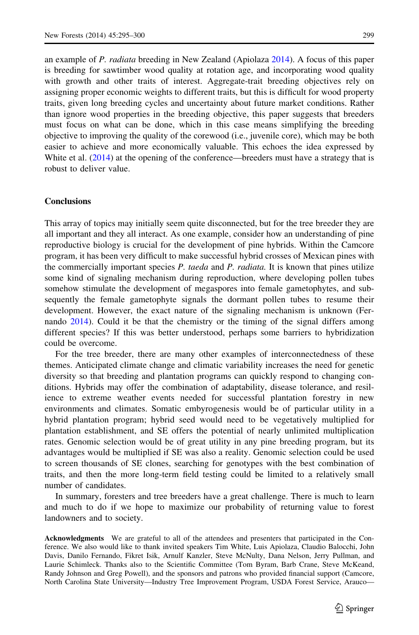an example of P. radiata breeding in New Zealand (Apiolaza [2014\)](#page-5-0). A focus of this paper is breeding for sawtimber wood quality at rotation age, and incorporating wood quality with growth and other traits of interest. Aggregate-trait breeding objectives rely on assigning proper economic weights to different traits, but this is difficult for wood property traits, given long breeding cycles and uncertainty about future market conditions. Rather than ignore wood properties in the breeding objective, this paper suggests that breeders must focus on what can be done, which in this case means simplifying the breeding objective to improving the quality of the corewood (i.e., juvenile core), which may be both easier to achieve and more economically valuable. This echoes the idea expressed by White et al. ([2014\)](#page-5-0) at the opening of the conference—breeders must have a strategy that is robust to deliver value.

## Conclusions

This array of topics may initially seem quite disconnected, but for the tree breeder they are all important and they all interact. As one example, consider how an understanding of pine reproductive biology is crucial for the development of pine hybrids. Within the Camcore program, it has been very difficult to make successful hybrid crosses of Mexican pines with the commercially important species  $P$ . taeda and  $P$ . radiata. It is known that pines utilize some kind of signaling mechanism during reproduction, where developing pollen tubes somehow stimulate the development of megaspores into female gametophytes, and subsequently the female gametophyte signals the dormant pollen tubes to resume their development. However, the exact nature of the signaling mechanism is unknown (Fernando  $2014$ ). Could it be that the chemistry or the timing of the signal differs among different species? If this was better understood, perhaps some barriers to hybridization could be overcome.

For the tree breeder, there are many other examples of interconnectedness of these themes. Anticipated climate change and climatic variability increases the need for genetic diversity so that breeding and plantation programs can quickly respond to changing conditions. Hybrids may offer the combination of adaptability, disease tolerance, and resilience to extreme weather events needed for successful plantation forestry in new environments and climates. Somatic embyrogenesis would be of particular utility in a hybrid plantation program; hybrid seed would need to be vegetatively multiplied for plantation establishment, and SE offers the potential of nearly unlimited multiplication rates. Genomic selection would be of great utility in any pine breeding program, but its advantages would be multiplied if SE was also a reality. Genomic selection could be used to screen thousands of SE clones, searching for genotypes with the best combination of traits, and then the more long-term field testing could be limited to a relatively small number of candidates.

In summary, foresters and tree breeders have a great challenge. There is much to learn and much to do if we hope to maximize our probability of returning value to forest landowners and to society.

Acknowledgments We are grateful to all of the attendees and presenters that participated in the Conference. We also would like to thank invited speakers Tim White, Luis Apiolaza, Claudio Balocchi, John Davis, Danilo Fernando, Fikret Isik, Arnulf Kanzler, Steve McNulty, Dana Nelson, Jerry Pullman, and Laurie Schimleck. Thanks also to the Scientific Committee (Tom Byram, Barb Crane, Steve McKeand, Randy Johnson and Greg Powell), and the sponsors and patrons who provided financial support (Camcore, North Carolina State University—Industry Tree Improvement Program, USDA Forest Service, Arauco—